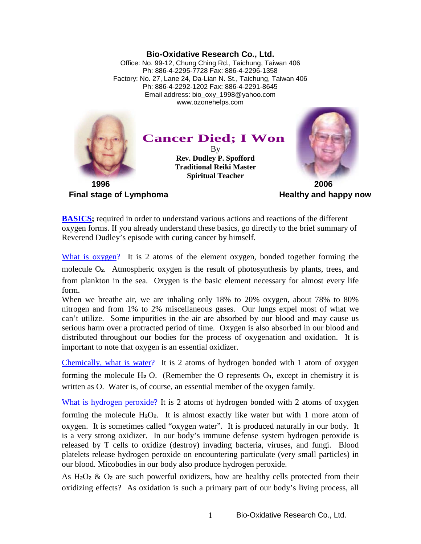## **Bio-Oxidative Research Co., Ltd.**

Office: No. 99-12, Chung Ching Rd., Taichung, Taiwan 406 Ph: 886-4-2295-7728 Fax: 886-4-2296-1358 Factory: No. 27, Lane 24, Da-Lian N. St., Taichung, Taiwan 406 Ph: 886-4-2292-1202 Fax: 886-4-2291-8645 Email address: bio\_oxy\_1998@yahoo.com www.ozonehelps.com



**Final stage of Lymphoma Healthy** and happy now

**BASICS;** required in order to understand various actions and reactions of the different oxygen forms. If you already understand these basics, go directly to the brief summary of Reverend Dudley's episode with curing cancer by himself.

What is oxygen? It is 2 atoms of the element oxygen, bonded together forming the molecule O<sub>2</sub>. Atmospheric oxygen is the result of photosynthesis by plants, trees, and from plankton in the sea. Oxygen is the basic element necessary for almost every life form.

When we breathe air, we are inhaling only 18% to 20% oxygen, about 78% to 80% nitrogen and from 1% to 2% miscellaneous gases. Our lungs expel most of what we can't utilize. Some impurities in the air are absorbed by our blood and may cause us serious harm over a protracted period of time. Oxygen is also absorbed in our blood and distributed throughout our bodies for the process of oxygenation and oxidation. It is important to note that oxygen is an essential oxidizer.

Chemically, what is water? It is 2 atoms of hydrogen bonded with 1 atom of oxygen forming the molecule H<sub>2</sub> O. (Remember the O represents  $O_1$ , except in chemistry it is written as O. Water is, of course, an essential member of the oxygen family.

What is hydrogen peroxide? It is 2 atoms of hydrogen bonded with 2 atoms of oxygen

forming the molecule  $H_2O_2$ . It is almost exactly like water but with 1 more atom of oxygen. It is sometimes called "oxygen water". It is produced naturally in our body. It is a very strong oxidizer. In our body's immune defense system hydrogen peroxide is released by T cells to oxidize (destroy) invading bacteria, viruses, and fungi. Blood platelets release hydrogen peroxide on encountering particulate (very small particles) in our blood. Micobodies in our body also produce hydrogen peroxide.

As  $H_2O_2 \& O_2$  are such powerful oxidizers, how are healthy cells protected from their oxidizing effects? As oxidation is such a primary part of our body's living process, all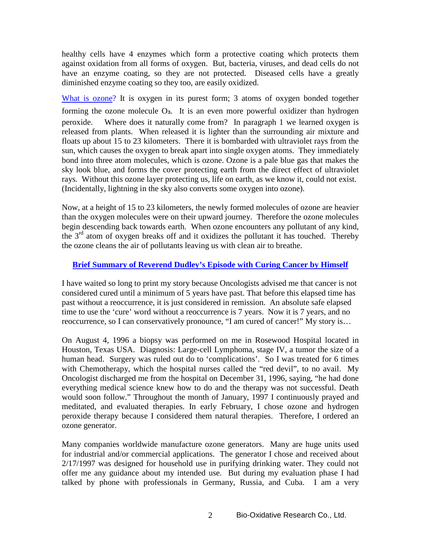healthy cells have 4 enzymes which form a protective coating which protects them against oxidation from all forms of oxygen. But, bacteria, viruses, and dead cells do not have an enzyme coating, so they are not protected. Diseased cells have a greatly diminished enzyme coating so they too, are easily oxidized.

What is ozone? It is oxygen in its purest form; 3 atoms of oxygen bonded together forming the ozone molecule  $O_3$ . It is an even more powerful oxidizer than hydrogen peroxide. Where does it naturally come from? In paragraph 1 we learned oxygen is released from plants. When released it is lighter than the surrounding air mixture and floats up about 15 to 23 kilometers. There it is bombarded with ultraviolet rays from the sun, which causes the oxygen to break apart into single oxygen atoms. They immediately bond into three atom molecules, which is ozone. Ozone is a pale blue gas that makes the sky look blue, and forms the cover protecting earth from the direct effect of ultraviolet rays. Without this ozone layer protecting us, life on earth, as we know it, could not exist. (Incidentally, lightning in the sky also converts some oxygen into ozone).

Now, at a height of 15 to 23 kilometers, the newly formed molecules of ozone are heavier than the oxygen molecules were on their upward journey. Therefore the ozone molecules begin descending back towards earth. When ozone encounters any pollutant of any kind, the  $3<sup>rd</sup>$  atom of oxygen breaks off and it oxidizes the pollutant it has touched. Thereby the ozone cleans the air of pollutants leaving us with clean air to breathe.

## **Brief Summary of Reverend Dudley's Episode with Curing Cancer by Himself**

I have waited so long to print my story because Oncologists advised me that cancer is not considered cured until a minimum of 5 years have past. That before this elapsed time has past without a reoccurrence, it is just considered in remission. An absolute safe elapsed time to use the 'cure' word without a reoccurrence is 7 years. Now it is 7 years, and no reoccurrence, so I can conservatively pronounce, "I am cured of cancer!" My story is…

On August 4, 1996 a biopsy was performed on me in Rosewood Hospital located in Houston, Texas USA. Diagnosis: Large-cell Lymphoma, stage IV, a tumor the size of a human head. Surgery was ruled out do to 'complications'. So I was treated for 6 times with Chemotherapy, which the hospital nurses called the "red devil", to no avail. My Oncologist discharged me from the hospital on December 31, 1996, saying, "he had done everything medical science knew how to do and the therapy was not successful. Death would soon follow." Throughout the month of January, 1997 I continuously prayed and meditated, and evaluated therapies. In early February, I chose ozone and hydrogen peroxide therapy because I considered them natural therapies. Therefore, I ordered an ozone generator.

Many companies worldwide manufacture ozone generators. Many are huge units used for industrial and/or commercial applications. The generator I chose and received about 2/17/1997 was designed for household use in purifying drinking water. They could not offer me any guidance about my intended use. But during my evaluation phase I had talked by phone with professionals in Germany, Russia, and Cuba. I am a very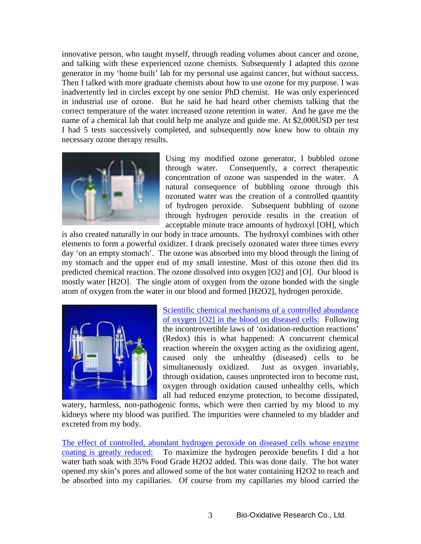innovative person, who taught myself, through reading volumes about cancer and ozone, and talking with these experienced ozone chemists. Subsequently I adapted this ozone generator in my 'home built' lab for my personal use against cancer, but without success. Then I talked with more graduate chemists about how to use ozone for my purpose. I was inadvertently led in circles except by one senior PhD chemist. He was only experienced in industrial use of ozone. But he said he had heard other chemists talking that the correct temperature of the water increased ozone retention in water. And he gave me the name of a chemical lab that could help me analyze and guide me. At \$2,000USD per test I had 5 tests successively completed, and subsequently now knew how to obtain my necessary ozone therapy results.



Using my modified ozone generator, I bubbled ozone through water. Consequently, a correct therapeutic concentration of ozone was suspended in the water. A natural consequence of bubbling ozone through this ozonated water was the creation of a controlled quantity of hydrogen peroxide. Subsequent bubbling of ozone through hydrogen peroxide results in the creation of acceptable minute trace amounts of hydroxyl [OH], which

is also created naturally in our body in trace amounts. The hydroxyl combines with other elements to form a powerful oxidizer. I drank precisely ozonated water three times every day 'on an empty stomach'. The ozone was absorbed into my blood through the lining of my stomach and the upper end of my small intestine. Most of this ozone then did its predicted chemical reaction. The ozone dissolved into oxygen [O2] and [O]. Our blood is mostly water [H2O]. The single atom of oxygen from the ozone bonded with the single atom of oxygen from the water in our blood and formed [H2O2], hydrogen peroxide.



Scientific chemical mechanisms of a controlled abundance of oxygen [O2] in the blood on diseased cells: Following the incontrovertible laws of 'oxidation-reduction reactions' (Redox) this is what happened: A concurrent chemical reaction wherein the oxygen acting as the oxidizing agent, caused only the unhealthy (diseased) cells to be simultaneously oxidized. Just as oxygen invariably, through oxidation, causes unprotected iron to become rust, oxygen through oxidation caused unhealthy cells, which all had reduced enzyme protection, to become dissipated,

watery, harmless, non-pathogenic forms, which were then carried by my blood to my kidneys where my blood was purified. The impurities were channeled to my bladder and excreted from my body.

The effect of controlled, abundant hydrogen peroxide on diseased cells whose enzyme coating is greatly reduced: To maximize the hydrogen peroxide benefits I did a hot water bath soak with 35% Food Grade H2O2 added. This was done daily. The hot water opened my skin's pores and allowed some of the hot water containing H2O2 to reach and be absorbed into my capillaries. Of course from my capillaries my blood carried the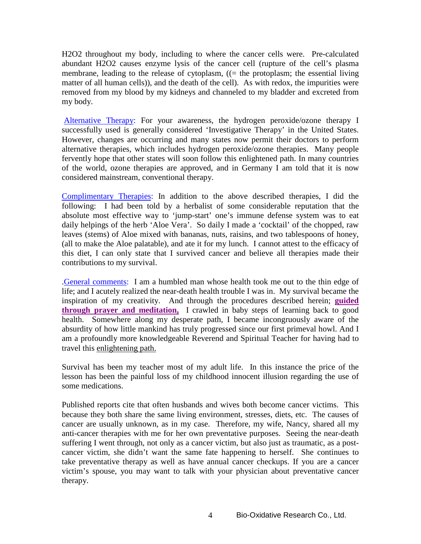H2O2 throughout my body, including to where the cancer cells were. Pre-calculated abundant H2O2 causes enzyme lysis of the cancer cell (rupture of the cell's plasma membrane, leading to the release of cytoplasm, ((= the protoplasm; the essential living matter of all human cells)), and the death of the cell). As with redox, the impurities were removed from my blood by my kidneys and channeled to my bladder and excreted from my body.

Alternative Therapy: For your awareness, the hydrogen peroxide/ozone therapy I successfully used is generally considered 'Investigative Therapy' in the United States. However, changes are occurring and many states now permit their doctors to perform alternative therapies, which includes hydrogen peroxide/ozone therapies. Many people fervently hope that other states will soon follow this enlightened path. In many countries of the world, ozone therapies are approved, and in Germany I am told that it is now considered mainstream, conventional therapy.

Complimentary Therapies: In addition to the above described therapies, I did the following: I had been told by a herbalist of some considerable reputation that the absolute most effective way to 'jump-start' one's immune defense system was to eat daily helpings of the herb 'Aloe Vera'. So daily I made a 'cocktail' of the chopped, raw leaves (stems) of Aloe mixed with bananas, nuts, raisins, and two tablespoons of honey, (all to make the Aloe palatable), and ate it for my lunch. I cannot attest to the efficacy of this diet, I can only state that I survived cancer and believe all therapies made their contributions to my survival.

.General comments: I am a humbled man whose health took me out to the thin edge of life; and I acutely realized the near-death health trouble I was in. My survival became the inspiration of my creativity. And through the procedures described herein; **guided through prayer and meditation,** I crawled in baby steps of learning back to good health. Somewhere along my desperate path, I became incongruously aware of the absurdity of how little mankind has truly progressed since our first primeval howl. And I am a profoundly more knowledgeable Reverend and Spiritual Teacher for having had to travel this enlightening path.

Survival has been my teacher most of my adult life. In this instance the price of the lesson has been the painful loss of my childhood innocent illusion regarding the use of some medications.

Published reports cite that often husbands and wives both become cancer victims. This because they both share the same living environment, stresses, diets, etc. The causes of cancer are usually unknown, as in my case. Therefore, my wife, Nancy, shared all my anti-cancer therapies with me for her own preventative purposes. Seeing the near-death suffering I went through, not only as a cancer victim, but also just as traumatic, as a postcancer victim, she didn't want the same fate happening to herself. She continues to take preventative therapy as well as have annual cancer checkups. If you are a cancer victim's spouse, you may want to talk with your physician about preventative cancer therapy.